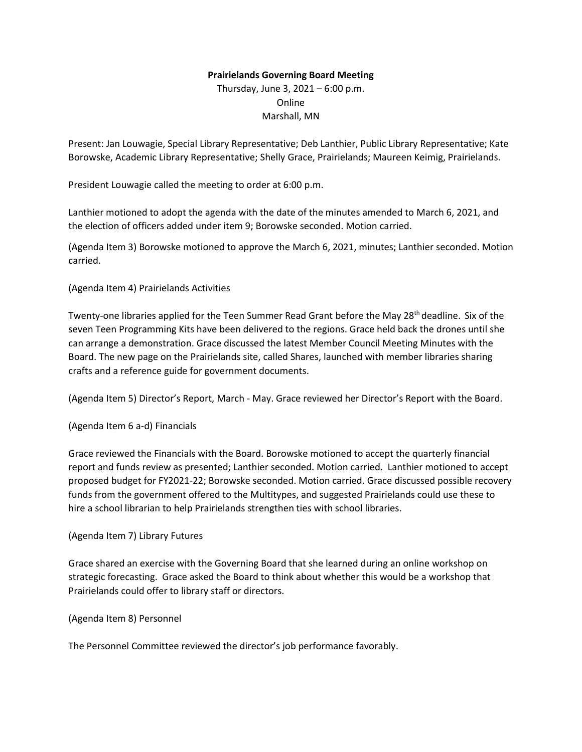## **Prairielands Governing Board Meeting**

Thursday, June 3, 2021 – 6:00 p.m. Online Marshall, MN

Present: Jan Louwagie, Special Library Representative; Deb Lanthier, Public Library Representative; Kate Borowske, Academic Library Representative; Shelly Grace, Prairielands; Maureen Keimig, Prairielands.

President Louwagie called the meeting to order at 6:00 p.m.

Lanthier motioned to adopt the agenda with the date of the minutes amended to March 6, 2021, and the election of officers added under item 9; Borowske seconded. Motion carried.

(Agenda Item 3) Borowske motioned to approve the March 6, 2021, minutes; Lanthier seconded. Motion carried.

(Agenda Item 4) Prairielands Activities

Twenty-one libraries applied for the Teen Summer Read Grant before the May 28<sup>th</sup> deadline. Six of the seven Teen Programming Kits have been delivered to the regions. Grace held back the drones until she can arrange a demonstration. Grace discussed the latest Member Council Meeting Minutes with the Board. The new page on the Prairielands site, called Shares, launched with member libraries sharing crafts and a reference guide for government documents.

(Agenda Item 5) Director's Report, March - May. Grace reviewed her Director's Report with the Board.

## (Agenda Item 6 a-d) Financials

Grace reviewed the Financials with the Board. Borowske motioned to accept the quarterly financial report and funds review as presented; Lanthier seconded. Motion carried. Lanthier motioned to accept proposed budget for FY2021-22; Borowske seconded. Motion carried. Grace discussed possible recovery funds from the government offered to the Multitypes, and suggested Prairielands could use these to hire a school librarian to help Prairielands strengthen ties with school libraries.

## (Agenda Item 7) Library Futures

Grace shared an exercise with the Governing Board that she learned during an online workshop on strategic forecasting. Grace asked the Board to think about whether this would be a workshop that Prairielands could offer to library staff or directors.

## (Agenda Item 8) Personnel

The Personnel Committee reviewed the director's job performance favorably.